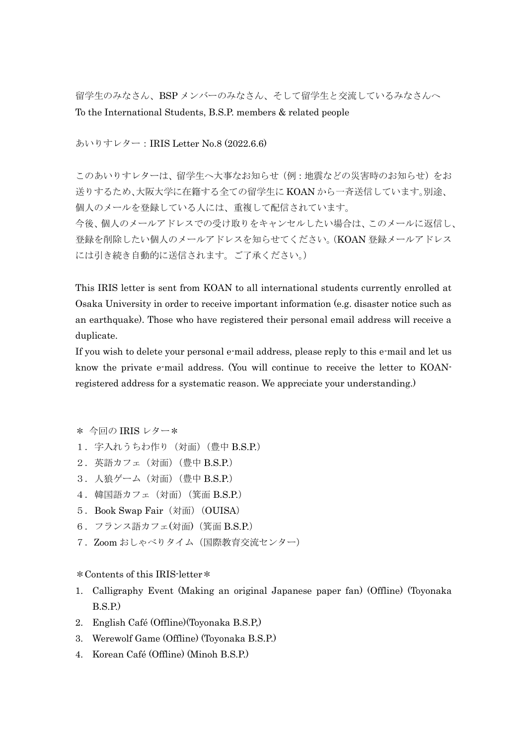留学生のみなさん、BSP メンバーのみなさん、そして留学生と交流しているみなさんへ To the International Students, B.S.P. members & related people

あいりすレター:IRIS Letter No.8 (2022.6.6)

このあいりすレターは、留学生へ大事なお知らせ(例:地震などの災害時のお知らせ)をお 送りするため、大阪大学に在籍する全ての留学生に KOAN から一斉送信しています。別途、 個人のメールを登録している人には、重複して配信されています。 今後、個人のメールアドレスでの受け取りをキャンセルしたい場合は、このメールに返信し、 登録を削除したい個人のメールアドレスを知らせてください。(KOAN 登録メールアドレス には引き続き自動的に送信されます。ご了承ください。)

This IRIS letter is sent from KOAN to all international students currently enrolled at Osaka University in order to receive important information (e.g. disaster notice such as an earthquake). Those who have registered their personal email address will receive a duplicate.

If you wish to delete your personal e-mail address, please reply to this e-mail and let us know the private e-mail address. (You will continue to receive the letter to KOANregistered address for a systematic reason. We appreciate your understanding.)

- \* 今回の IRIS レター\*
- 1. 字入れうちわ作り (対面) (豊中 B.S.P.)
- 2.英語カフェ(対面)(豊中 B.S.P.)
- 3. 人狼ゲーム (対面) (豊中 B.S.P.)
- 4.韓国語カフェ(対面)(箕面 B.S.P.)
- 5.Book Swap Fair(対面)(OUISA)
- 6.フランス語カフェ(対面)(箕面 B.S.P.)
- 7.Zoom おしゃべりタイム(国際教育交流センター)

\*Contents of this IRIS-letter\*

- 1. Calligraphy Event (Making an original Japanese paper fan) (Offline) (Toyonaka B.S.P.)
- 2. English Café (Offline)(Toyonaka B.S.P,)
- 3. Werewolf Game (Offline) (Toyonaka B.S.P.)
- 4. Korean Café (Offline) (Minoh B.S.P.)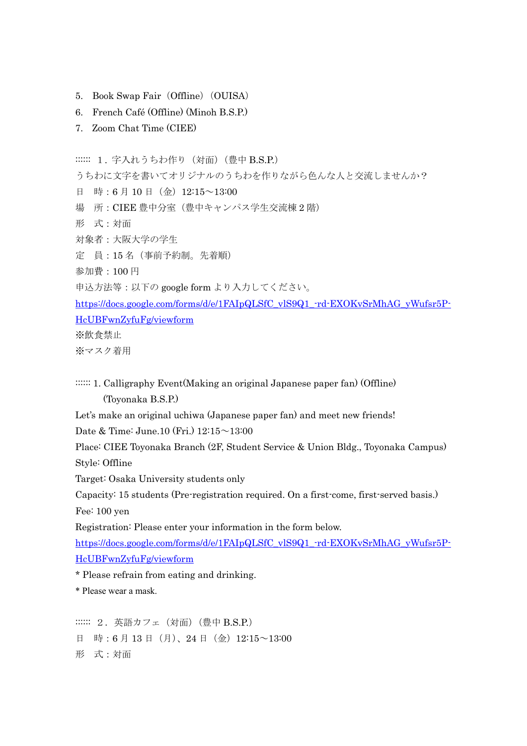- 5. Book Swap Fair (Offline) (OUISA)
- 6. French Café (Offline) (Minoh B.S.P.)
- 7. Zoom Chat Time (CIEE)

::::::: 1. 字入れうちわ作り (対面) (豊中 B.S.P.)

うちわに文字を書いてオリジナルのうちわを作りながら色んな人と交流しませんか?

- 日 時:6月10日(金)12:15~13:00
- 場 所:CIEE 豊中分室(豊中キャンパス学生交流棟 2 階)
- 形 式:対面
- 対象者:大阪大学の学生
- 定 員:15 名(事前予約制。先着順)
- 参加費:100 円
- 申込方法等:以下の google form より入力してください。

[https://docs.google.com/forms/d/e/1FAIpQLSfC\\_vlS9Q1\\_-rd-EXOKvSrMhAG\\_yWufsr5P-](https://docs.google.com/forms/d/e/1FAIpQLSfC_vlS9Q1_-rd-EXOKvSrMhAG_yWufsr5P-HcUBFwnZyfuFg/viewform)[HcUBFwnZyfuFg/viewform](https://docs.google.com/forms/d/e/1FAIpQLSfC_vlS9Q1_-rd-EXOKvSrMhAG_yWufsr5P-HcUBFwnZyfuFg/viewform)

※飲食禁止

※マスク着用

::::::: 1. Calligraphy Event(Making an original Japanese paper fan) (Offline) (Toyonaka B.S.P.)

Let's make an original uchiwa (Japanese paper fan) and meet new friends!

Date & Time: June.10 (Fri.) 12:15~13:00

Place: CIEE Toyonaka Branch (2F, Student Service & Union Bldg., Toyonaka Campus) Style: Offline

Target: Osaka University students only

Capacity: 15 students (Pre-registration required. On a first-come, first-served basis.) Fee: 100 yen

Registration: Please enter your information in the form below.

[https://docs.google.com/forms/d/e/1FAIpQLSfC\\_vlS9Q1\\_-rd-EXOKvSrMhAG\\_yWufsr5P-](https://docs.google.com/forms/d/e/1FAIpQLSfC_vlS9Q1_-rd-EXOKvSrMhAG_yWufsr5P-HcUBFwnZyfuFg/viewform)[HcUBFwnZyfuFg/viewform](https://docs.google.com/forms/d/e/1FAIpQLSfC_vlS9Q1_-rd-EXOKvSrMhAG_yWufsr5P-HcUBFwnZyfuFg/viewform)

\* Please refrain from eating and drinking.

\* Please wear a mask.

:::::: 2. 英語カフェ (対面) (豊中 B.S.P.) 日 時:6月13日(月)、24日(金)12:15~13:00 形 式:対面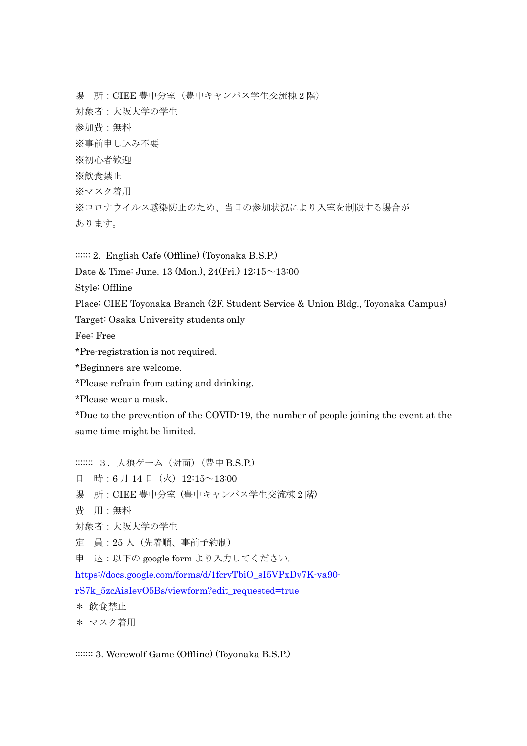場 所:CIEE 豊中分室(豊中キャンパス学生交流棟 2 階) 対象者:大阪大学の学生 参加費:無料 ※事前申し込み不要 ※初心者歓迎 ※飲食禁止 ※マスク着用 ※コロナウイルス感染防止のため、当日の参加状況により入室を制限する場合が あります。

:::::: 2. English Cafe (Offline) (Toyonaka B.S.P.)

Date & Time: June. 13 (Mon.), 24(Fri.) 12:15~13:00

Style: Offline

Place: CIEE Toyonaka Branch (2F. Student Service & Union Bldg., Toyonaka Campus)

Target: Osaka University students only

Fee: Free

\*Pre-registration is not required.

\*Beginners are welcome.

\*Please refrain from eating and drinking.

\*Please wear a mask.

\*Due to the prevention of the COVID-19, the number of people joining the event at the same time might be limited.

::::::: 3. 人狼ゲーム (対面) (豊中 B.S.P.) 日 時:6月14日(火) 12:15~13:00 場 所:CIEE 豊中分室 (豊中キャンパス学生交流棟 2 階) 費 用:無料 対象者:大阪大学の学生 定 員:25 人(先着順、事前予約制) 申 込:以下の google form より入力してください。 [https://docs.google.com/forms/d/1fcrvTbiO\\_sI5VPxDv7K-va90](https://docs.google.com/forms/d/1fcrvTbiO_sI5VPxDv7K-va90-rS7k_5zcAisIevO5Bs/viewform?edit_requested=true) [rS7k\\_5zcAisIevO5Bs/viewform?edit\\_requested=true](https://docs.google.com/forms/d/1fcrvTbiO_sI5VPxDv7K-va90-rS7k_5zcAisIevO5Bs/viewform?edit_requested=true) \* 飲食禁止 \* マスク着用

::::::: 3. Werewolf Game (Offline) (Toyonaka B.S.P.)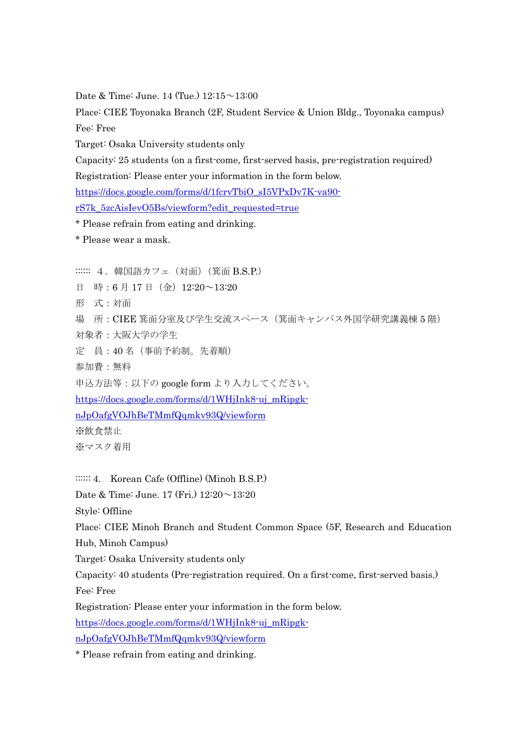Date & Time: June. 14 (Tue.) 12:15~13:00

Place: CIEE Toyonaka Branch (2F, Student Service & Union Bldg., Toyonaka campus) Fee: Free

Target: Osaka University students only

Capacity: 25 students (on a first-come, first-served basis, pre-registration required)

Registration: Please enter your information in the form below.

[https://docs.google.com/forms/d/1fcrvTbiO\\_sI5VPxDv7K-va90-](https://docs.google.com/forms/d/1fcrvTbiO_sI5VPxDv7K-va90-rS7k_5zcAisIevO5Bs/viewform?edit_requested=true)

[rS7k\\_5zcAisIevO5Bs/viewform?edit\\_requested=true](https://docs.google.com/forms/d/1fcrvTbiO_sI5VPxDv7K-va90-rS7k_5zcAisIevO5Bs/viewform?edit_requested=true)

\* Please refrain from eating and drinking.

\* Please wear a mask.

:::::: 4. 韓国語カフェ (対面) (箕面 B.S.P.)

日 時:6月17日(金)12:20~13:20

形 式:対面

場 所:CIEE 箕面分室及び学生交流スペース(箕面キャンパス外国学研究講義棟 5 階) 対象者:大阪大学の学生

定 員:40 名(事前予約制。先着順)

参加費:無料

申込方法等:以下の google form より入力してください。

[https://docs.google.com/forms/d/1WHjInk8-uj\\_mRipgk-](https://docs.google.com/forms/d/1WHjInk8-uj_mRipgk-nJpOafgVOJhBeTMmfQqmkv93Q/viewform)

[nJpOafgVOJhBeTMmfQqmkv93Q/viewform](https://docs.google.com/forms/d/1WHjInk8-uj_mRipgk-nJpOafgVOJhBeTMmfQqmkv93Q/viewform)

※飲食禁止

※マスク着用

::::::: 4. Korean Cafe (Offline) (Minoh B.S.P.)

Date & Time: June. 17 (Fri.)  $12:20 \sim 13:20$ 

Style: Offline

Place: CIEE Minoh Branch and Student Common Space (5F, Research and Education Hub, Minoh Campus)

Target: Osaka University students only

Capacity: 40 students (Pre-registration required. On a first-come, first-served basis.) Fee: Free

Registration: Please enter your information in the form below.

[https://docs.google.com/forms/d/1WHjInk8-uj\\_mRipgk-](https://docs.google.com/forms/d/1WHjInk8-uj_mRipgk-nJpOafgVOJhBeTMmfQqmkv93Q/viewformtrue)

[nJpOafgVOJhBeTMmfQqmkv93Q/viewform](https://docs.google.com/forms/d/1WHjInk8-uj_mRipgk-nJpOafgVOJhBeTMmfQqmkv93Q/viewformtrue)

\* Please refrain from eating and drinking.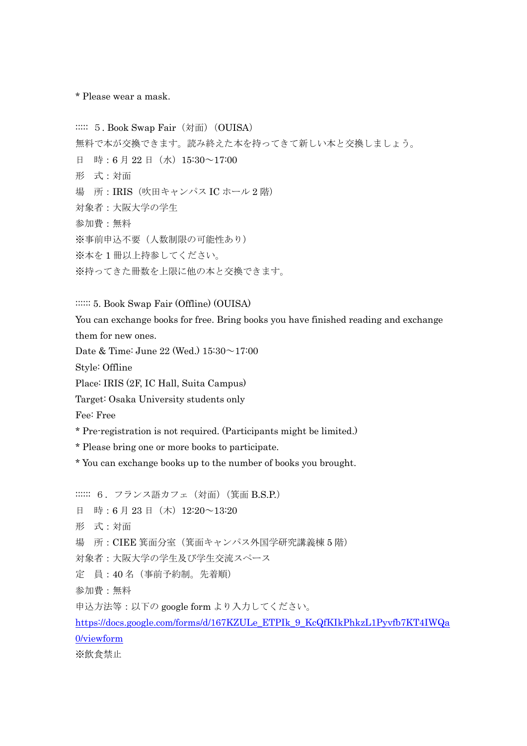\* Please wear a mask.

:::::: 5. Book Swap Fair (対面) (OUISA) 無料で本が交換できます。読み終えた本を持ってきて新しい本と交換しましょう。 日 時:6月22日(水) 15:30~17:00 形 式:対面 場 所:IRIS(吹田キャンパス IC ホール 2 階) 対象者:大阪大学の学生 参加費:無料 ※事前申込不要(人数制限の可能性あり) ※本を 1 冊以上持参してください。 ※持ってきた冊数を上限に他の本と交換できます。

:::::: 5. Book Swap Fair (Offline) (OUISA)

You can exchange books for free. Bring books you have finished reading and exchange them for new ones.

Date & Time: June 22 (Wed.) 15:30~17:00

Style: Offline

Place: IRIS (2F, IC Hall, Suita Campus)

Target: Osaka University students only

Fee: Free

\* Pre-registration is not required. (Participants might be limited.)

\* Please bring one or more books to participate.

\* You can exchange books up to the number of books you brought.

:::::: 6. フランス語カフェ (対面) (箕面 B.S.P.) 日 時:6月23日(木) 12:20~13:20 形 式:対面 場 所:CIEE 箕面分室(箕面キャンパス外国学研究講義棟 5 階) 対象者:大阪大学の学生及び学生交流スペース 定 員:40 名(事前予約制。先着順) 参加費:無料 申込方法等:以下の google form より入力してください。 [https://docs.google.com/forms/d/167KZULe\\_ETPIk\\_9\\_KcQfKIkPhkzL1Pyvfb7KT4IWQa](https://docs.google.com/forms/d/167KZULe_ETPIk_9_KcQfKIkPhkzL1Pyvfb7KT4IWQa0/viewform) [0/viewform](https://docs.google.com/forms/d/167KZULe_ETPIk_9_KcQfKIkPhkzL1Pyvfb7KT4IWQa0/viewform) ※飲食禁止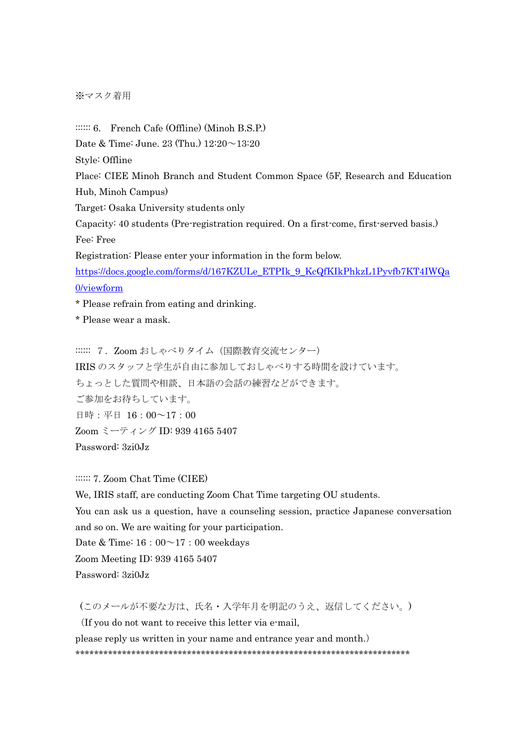※マスク着用

::::::: 6. French Cafe (Offline) (Minoh B.S.P.) Date & Time: June. 23 (Thu.)  $12:20 \sim 13:20$ Style: Offline Place: CIEE Minoh Branch and Student Common Space (5F, Research and Education Hub, Minoh Campus) Target: Osaka University students only Capacity: 40 students (Pre-registration required. On a first-come, first-served basis.) Fee: Free Registration: Please enter your information in the form below. [https://docs.google.com/forms/d/167KZULe\\_ETPIk\\_9\\_KcQfKIkPhkzL1Pyvfb7KT4IWQa](https://docs.google.com/forms/d/167KZULe_ETPIk_9_KcQfKIkPhkzL1Pyvfb7KT4IWQa0/viewform) [0/viewform](https://docs.google.com/forms/d/167KZULe_ETPIk_9_KcQfKIkPhkzL1Pyvfb7KT4IWQa0/viewform) \* Please refrain from eating and drinking.

\* Please wear a mask.

:::::: 7. Zoom おしゃべりタイム (国際教育交流センター) IRIS のスタッフと学生が自由に参加しておしゃべりする時間を設けています。 ちょっとした質問や相談、日本語の会話の練習などができます。 ご参加をお待ちしています。 日時:平日 16:00~17:00 Zoom ミーティング ID: 939 4165 5407 Password: 3zi0Jz

::::::: 7. Zoom Chat Time (CIEE)

We, IRIS staff, are conducting Zoom Chat Time targeting OU students. You can ask us a question, have a counseling session, practice Japanese conversation and so on. We are waiting for your participation. Date & Time:  $16:00^\sim 17:00$  weekdays Zoom Meeting ID: 939 4165 5407 Password: 3zi0Jz

(このメールが不要な方は、氏名・入学年月を明記のうえ、返信してください。)

(If you do not want to receive this letter via e-mail,

please reply us written in your name and entrance year and month.) \*\*\*\*\*\*\*\*\*\*\*\*\*\*\*\*\*\*\*\*\*\*\*\*\*\*\*\*\*\*\*\*\*\*\*\*\*\*\*\*\*\*\*\*\*\*\*\*\*\*\*\*\*\*\*\*\*\*\*\*\*\*\*\*\*\*\*\*\*\*\*\*